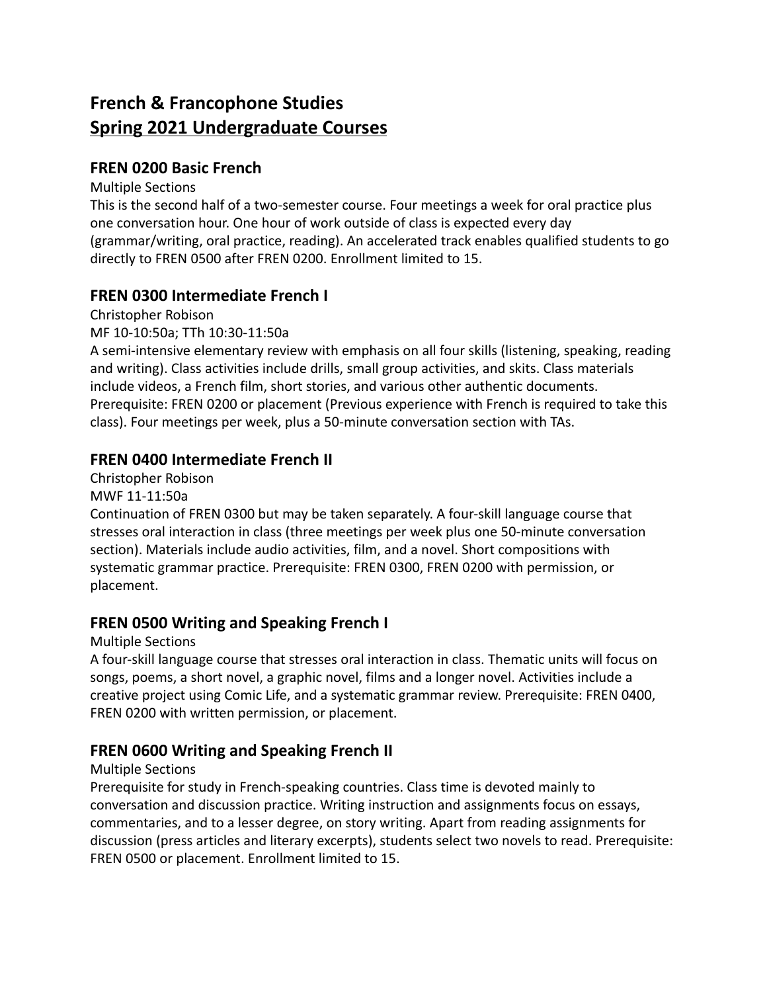# **French & Francophone Studies Spring 2021 Undergraduate Courses**

### **FREN 0200 Basic French**

#### Multiple Sections

This is the second half of a two-semester course. Four meetings a week for oral practice plus one conversation hour. One hour of work outside of class is expected every day (grammar/writing, oral practice, reading). An accelerated track enables qualified students to go directly to FREN 0500 after FREN 0200. Enrollment limited to 15.

### **FREN 0300 Intermediate French I**

Christopher Robison

MF 10-10:50a; TTh 10:30-11:50a

A semi-intensive elementary review with emphasis on all four skills (listening, speaking, reading and writing). Class activities include drills, small group activities, and skits. Class materials include videos, a French film, short stories, and various other authentic documents. Prerequisite: FREN 0200 or placement (Previous experience with French is required to take this class). Four meetings per week, plus a 50-minute conversation section with TAs.

# **FREN 0400 Intermediate French II**

Christopher Robison

MWF 11-11:50a

Continuation of FREN 0300 but may be taken separately. A four-skill language course that stresses oral interaction in class (three meetings per week plus one 50-minute conversation section). Materials include audio activities, film, and a novel. Short compositions with systematic grammar practice. Prerequisite: FREN 0300, FREN 0200 with permission, or placement.

### **FREN 0500 Writing and Speaking French I**

#### Multiple Sections

A four-skill language course that stresses oral interaction in class. Thematic units will focus on songs, poems, a short novel, a graphic novel, films and a longer novel. Activities include a creative project using Comic Life, and a systematic grammar review. Prerequisite: FREN 0400, FREN 0200 with written permission, or placement.

### **FREN 0600 Writing and Speaking French II**

#### Multiple Sections

Prerequisite for study in French-speaking countries. Class time is devoted mainly to conversation and discussion practice. Writing instruction and assignments focus on essays, commentaries, and to a lesser degree, on story writing. Apart from reading assignments for discussion (press articles and literary excerpts), students select two novels to read. Prerequisite: FREN 0500 or placement. Enrollment limited to 15.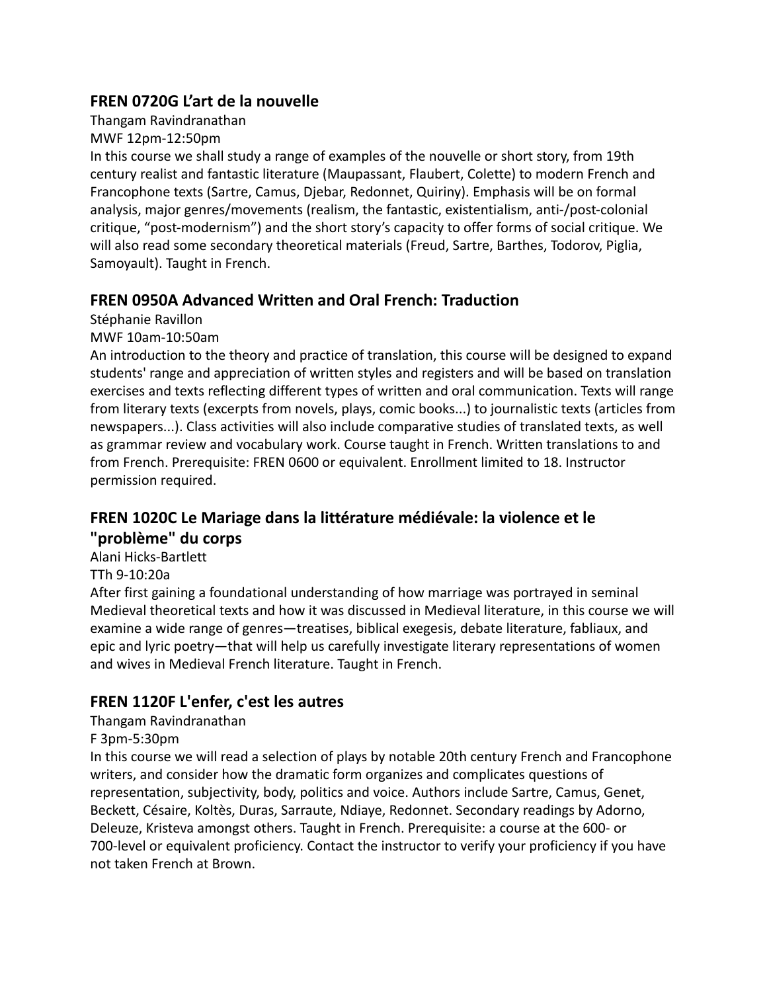### **FREN 0720G L'art de la nouvelle**

Thangam Ravindranathan

MWF 12pm-12:50pm

In this course we shall study a range of examples of the nouvelle or short story, from 19th century realist and fantastic literature (Maupassant, Flaubert, Colette) to modern French and Francophone texts (Sartre, Camus, Djebar, Redonnet, Quiriny). Emphasis will be on formal analysis, major genres/movements (realism, the fantastic, existentialism, anti-/post-colonial critique, "post-modernism") and the short story's capacity to offer forms of social critique. We will also read some secondary theoretical materials (Freud, Sartre, Barthes, Todorov, Piglia, Samoyault). Taught in French.

# **FREN 0950A Advanced Written and Oral French: Traduction**

Stéphanie Ravillon

MWF 10am-10:50am

An introduction to the theory and practice of translation, this course will be designed to expand students' range and appreciation of written styles and registers and will be based on translation exercises and texts reflecting different types of written and oral communication. Texts will range from literary texts (excerpts from novels, plays, comic books...) to journalistic texts (articles from newspapers...). Class activities will also include comparative studies of translated texts, as well as grammar review and vocabulary work. Course taught in French. Written translations to and from French. Prerequisite: FREN 0600 or equivalent. Enrollment limited to 18. Instructor permission required.

# **FREN 1020C Le Mariage dans la littérature médiévale: la violence et le "problème" du corps**

Alani Hicks-Bartlett

TTh 9-10:20a

After first gaining a foundational understanding of how marriage was portrayed in seminal Medieval theoretical texts and how it was discussed in Medieval literature, in this course we will examine a wide range of genres—treatises, biblical exegesis, debate literature, fabliaux, and epic and lyric poetry—that will help us carefully investigate literary representations of women and wives in Medieval French literature. Taught in French.

# **FREN 1120F L'enfer, c'est les autres**

Thangam Ravindranathan

F 3pm-5:30pm

In this course we will read a selection of plays by notable 20th century French and Francophone writers, and consider how the dramatic form organizes and complicates questions of representation, subjectivity, body, politics and voice. Authors include Sartre, Camus, Genet, Beckett, Césaire, Koltès, Duras, Sarraute, Ndiaye, Redonnet. Secondary readings by Adorno, Deleuze, Kristeva amongst others. Taught in French. Prerequisite: a course at the 600- or 700-level or equivalent proficiency. Contact the instructor to verify your proficiency if you have not taken French at Brown.